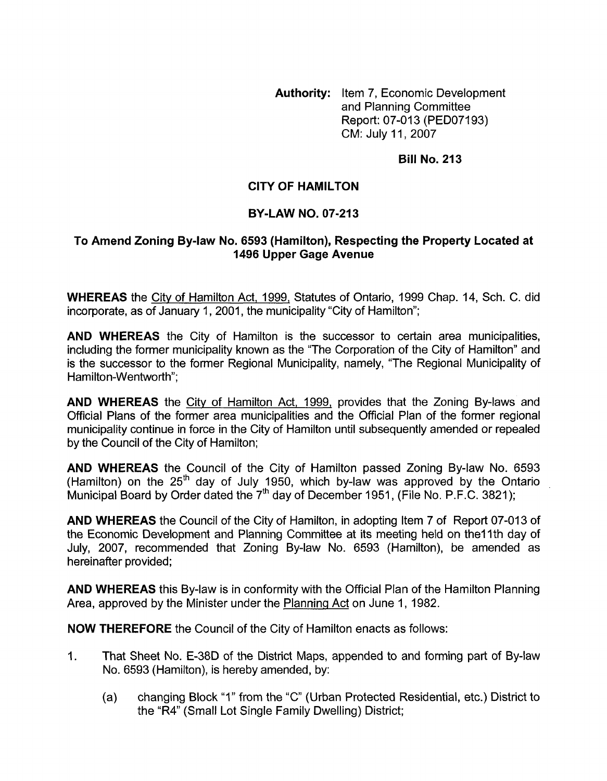**Authority:** Item 7, Economic Development and Planning Committee Report: 07-013 (PED07193) CM: July 11, 2007

## **Bill No. 213**

## **CITY OF HAMILTON**

## **BY-LAW NO. 07-213**

## **To Amend Zoning By-law No. 6593 (Hamilton), Respecting the Property Located at 1496 Upper Gage Avenue**

**WHEREAS** the City of Hamilton Act, 1999, Statutes of Ontario, 1999 Chap. 14, Sch. C. did incorporate, as of January 1, 2001, the municipality "City of Hamilton";

**AND WHEREAS** the City of Hamilton is the successor to certain area municipalities, including the former municipality known as the "The Corporation of the City of Hamilton" and is the successor to the former Regional Municipality, namely, "The Regional Municipality of Hamilton-Wentworth";

**AND WHEREAS** the City of Hamilton Act, 1999, provides that the Zoning By-laws and Official Plans of the former area municipalities and the Official Plan of the former regional municipality continue in force in the City of Hamilton until subsequently amended or repealed by the Council of the City of Hamilton;

**AND WHEREAS** the Council of the City of Hamilton passed Zoning By-law No. 6593 (Hamilton) on the  $25<sup>th</sup>$  day of July 1950, which by-law was approved by the Ontario Municipal Board by Order dated the 7<sup>th</sup> day of December 1951, (File No. P.F.C. 3821);

**AND WHEREAS** the Council of the City of Hamilton, in adopting Item 7 of Report 07-013 of the Economic Development and Planning Committee at its meeting held on the11th day of July, 2007, recommended that Zoning By-law No. 6593 (Hamilton), be amended as hereinafter provided;

**AND WHEREAS** this By-law is in conformity with the Official Plan of the Hamilton Planning Area, approved by the Minister under the Planning Act on June I, 1982.

**NOW THEREFORE** the Council of the City of Hamilton enacts as follows:

- I. That Sheet No. E-38D of the District Maps, appended to and forming part of By-law No. 6593 (Hamilton), is hereby amended, by:
	- (a) changing Block "I" from the *"C"* (Urban Protected Residential, etc.) District to the "R4" (Small Lot Single Family Dwelling) District;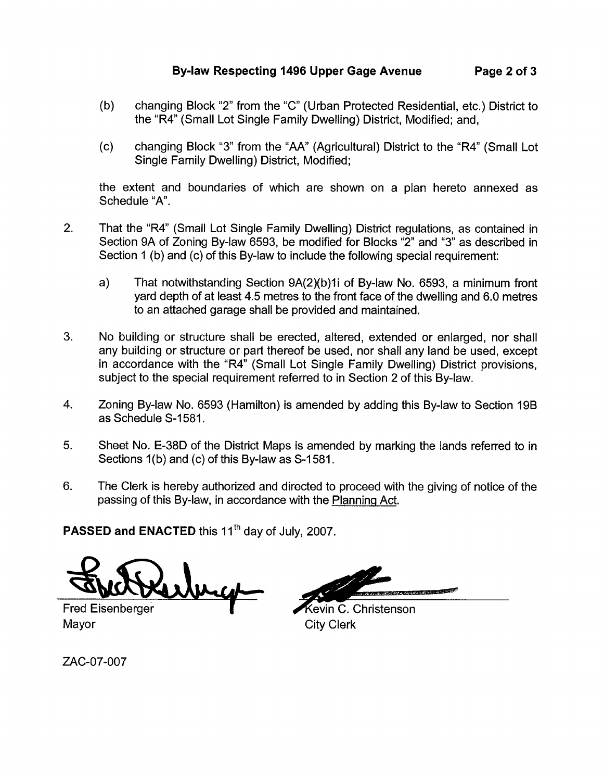- (b) changing Block "2" from the "C" (Urban Protected Residential, etc.) District to the "R4" (Small Lot Single Family Dwelling) District, Modified; and,
- (c) changing Block "3" from the "AA" (Agricultural) District to the "R4" (Small Lot Single Family Dwelling) District, Modified;

the extent and boundaries of which are shown on a plan hereto annexed as Schedule "A".

- 2. That the "R4' (Small Lot Single Family Dwelling) District regulations, as contained in Section 9A of Zoning By-law 6593, be modified for Blocks "2" and "3" as described in Section 1 (b) and (c) of this By-law to include the following special requirement:
	- a) That notwithstanding Section 9A(2)(b)1i of By-law No. 6593, a minimum front yard depth of at least 4.5 metres to the front face of the dwelling and 6.0 metres to an attached garage shall be provided and maintained.
- 3. No building or structure shall be erected, altered, extended or enlarged, nor shall any building or structure or part thereof be used, nor shall any land be used, except in accordance with the "R4" (Small Lot Single Family Dwelling) District provisions, subject to the special requirement referred to in Section 2 of this By-law.
- 4. Zoning By-law No. 6593 (Hamilton) is amended by adding this By-law to Section 19B as Schedule S-1581.
- 5. Sheet No. E-38D of the District Maps is amended by marking the lands referred to in Sections 1(b) and (c) of this By-law as S-1581.
- 6. The Clerk is hereby authorized and directed to proceed with the giving of notice of the passing of this By-law, in accordance with the Planning Act.

PASSED and ENACTED this 11<sup>th</sup> day of July, 2007.

abriga

**ALCOHOL: UNIVERSITY** 

Kevin C. Christenson City Clerk

Fred Eisenberger Mayor

ZAC-07-007